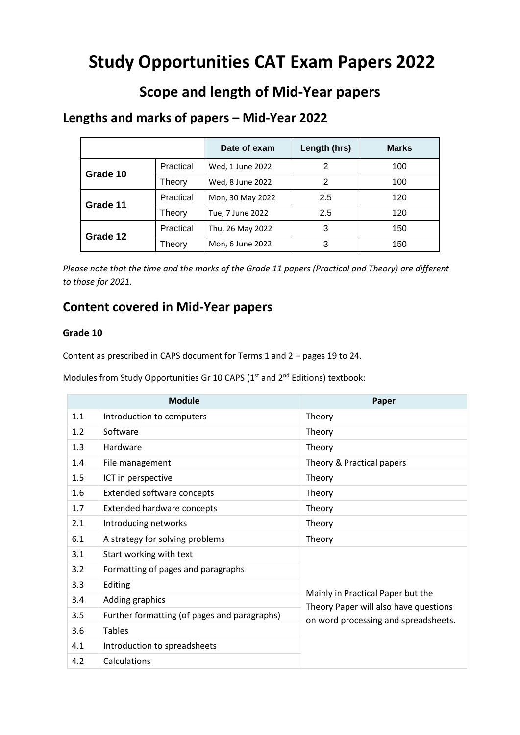# **Study Opportunities CAT Exam Papers 2022**

# **Scope and length of Mid-Year papers**

## **Lengths and marks of papers – Mid-Year 2022**

|          |           | Date of exam     | Length (hrs) | <b>Marks</b> |
|----------|-----------|------------------|--------------|--------------|
| Grade 10 | Practical | Wed, 1 June 2022 | 2            | 100          |
|          | Theory    | Wed, 8 June 2022 | 2            | 100          |
| Grade 11 | Practical | Mon, 30 May 2022 | 2.5          | 120          |
|          | Theory    | Tue, 7 June 2022 | 2.5          | 120          |
| Grade 12 | Practical | Thu, 26 May 2022 | 3            | 150          |
|          | Theorv    | Mon, 6 June 2022 | 3            | 150          |

*Please note that the time and the marks of the Grade 11 papers (Practical and Theory) are different to those for 2021.* 

# **Content covered in Mid-Year papers**

#### **Grade 10**

Content as prescribed in CAPS document for Terms 1 and 2 – pages 19 to 24.

Modules from Study Opportunities Gr 10 CAPS (1<sup>st</sup> and 2<sup>nd</sup> Editions) textbook:

| <b>Module</b> |                                              | Paper                                                                                                              |
|---------------|----------------------------------------------|--------------------------------------------------------------------------------------------------------------------|
| 1.1           | Introduction to computers                    | Theory                                                                                                             |
| 1.2           | Software                                     | Theory                                                                                                             |
| 1.3           | Hardware                                     | Theory                                                                                                             |
| 1.4           | File management                              | Theory & Practical papers                                                                                          |
| 1.5           | ICT in perspective                           | Theory                                                                                                             |
| 1.6           | <b>Extended software concepts</b>            | Theory                                                                                                             |
| 1.7           | <b>Extended hardware concepts</b>            | Theory                                                                                                             |
| 2.1           | Introducing networks                         | Theory                                                                                                             |
| 6.1           | A strategy for solving problems              | Theory                                                                                                             |
| 3.1           | Start working with text                      | Mainly in Practical Paper but the<br>Theory Paper will also have questions<br>on word processing and spreadsheets. |
| 3.2           | Formatting of pages and paragraphs           |                                                                                                                    |
| 3.3           | Editing                                      |                                                                                                                    |
| 3.4           | Adding graphics                              |                                                                                                                    |
| 3.5           | Further formatting (of pages and paragraphs) |                                                                                                                    |
| 3.6           | <b>Tables</b>                                |                                                                                                                    |
| 4.1           | Introduction to spreadsheets                 |                                                                                                                    |
| 4.2           | Calculations                                 |                                                                                                                    |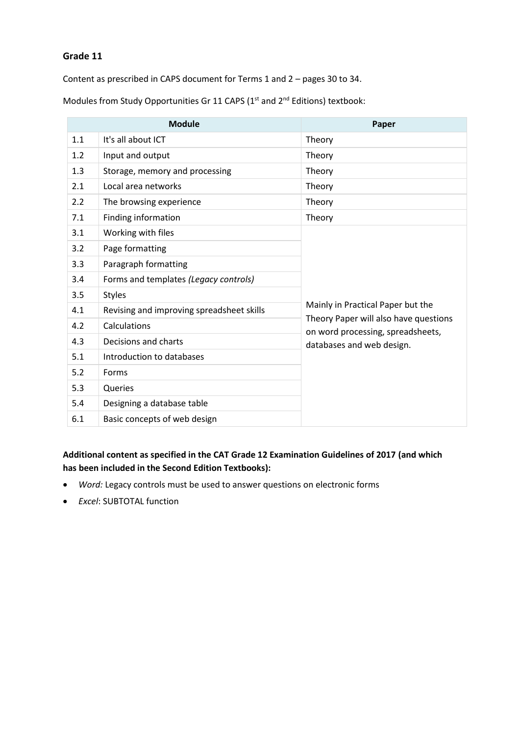#### **Grade 11**

Content as prescribed in CAPS document for Terms 1 and 2 – pages 30 to 34.

| <b>Module</b> |                                           | Paper                                                                      |  |
|---------------|-------------------------------------------|----------------------------------------------------------------------------|--|
| 1.1           | It's all about ICT                        | Theory                                                                     |  |
| 1.2           | Input and output                          | Theory                                                                     |  |
| 1.3           | Storage, memory and processing            | Theory                                                                     |  |
| 2.1           | Local area networks                       | Theory                                                                     |  |
| 2.2           | The browsing experience                   | Theory                                                                     |  |
| 7.1           | Finding information                       | Theory                                                                     |  |
| 3.1           | Working with files                        |                                                                            |  |
| 3.2           | Page formatting                           |                                                                            |  |
| 3.3           | Paragraph formatting                      |                                                                            |  |
| 3.4           | Forms and templates (Legacy controls)     |                                                                            |  |
| 3.5           | <b>Styles</b>                             |                                                                            |  |
| 4.1           | Revising and improving spreadsheet skills | Mainly in Practical Paper but the                                          |  |
| 4.2           | Calculations                              | Theory Paper will also have questions<br>on word processing, spreadsheets, |  |
| 4.3           | Decisions and charts                      | databases and web design.                                                  |  |
| 5.1           | Introduction to databases                 |                                                                            |  |
| 5.2           | Forms                                     |                                                                            |  |
| 5.3           | Queries                                   |                                                                            |  |
| 5.4           | Designing a database table                |                                                                            |  |
| 6.1           | Basic concepts of web design              |                                                                            |  |

Modules from Study Opportunities Gr 11 CAPS ( $1<sup>st</sup>$  and  $2<sup>nd</sup>$  Editions) textbook:

### **Additional content as specified in the CAT Grade 12 Examination Guidelines of 2017 (and which has been included in the Second Edition Textbooks):**

- *Word:* Legacy controls must be used to answer questions on electronic forms
- *Excel*: SUBTOTAL function